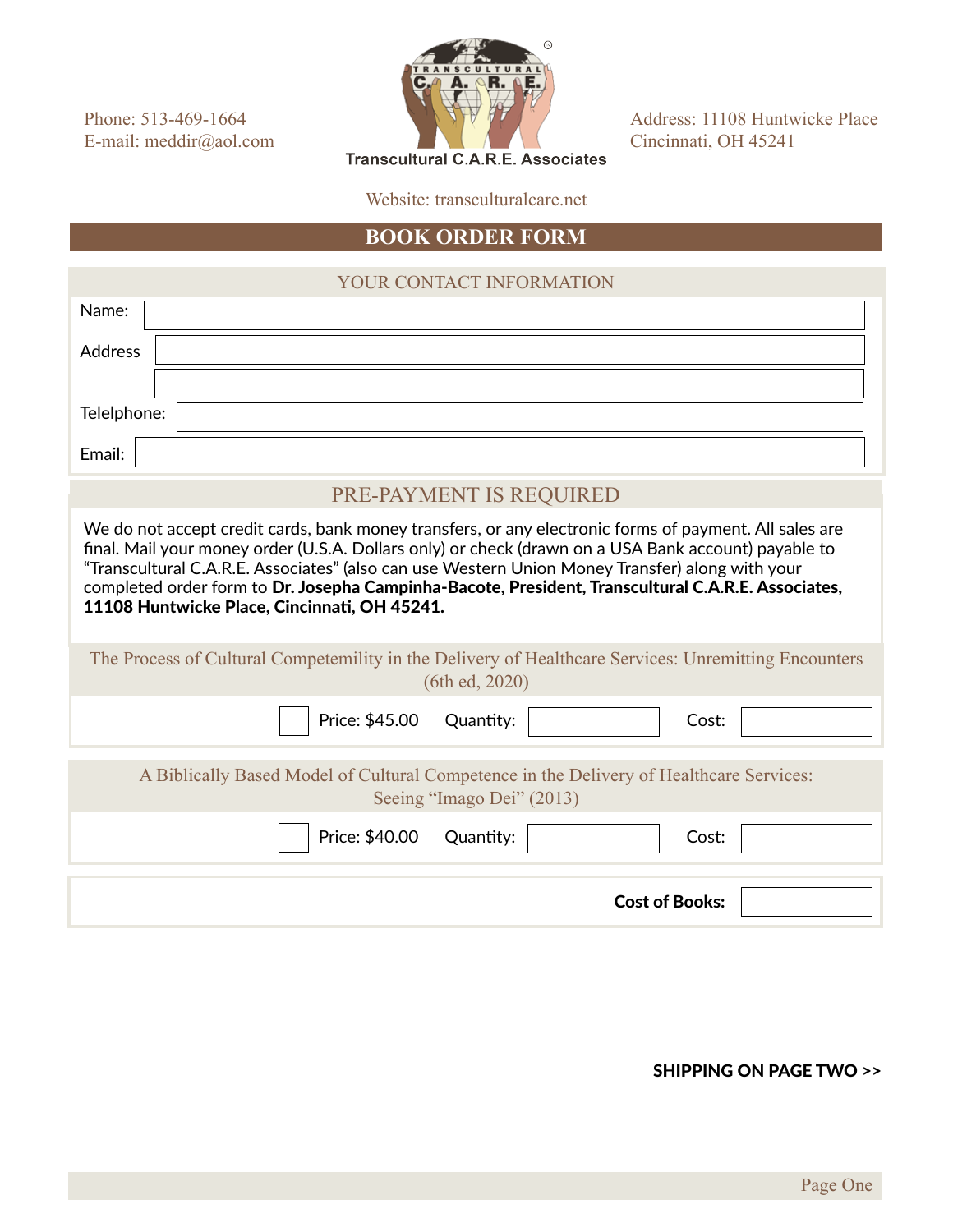Phone: 513-469-1664 E-mail: meddir@aol.com



Address: 11108 Huntwicke Place Cincinnati, OH 45241

**Transcultural C.A.R.E. Associates** 

Website: transculturalcare.net

## **BOOK ORDER FORM**

## YOUR CONTACT INFORMATION

| Name:                                                                                                                                                                                                                                                                                                                                                                                                                                                                   |  |  |  |  |
|-------------------------------------------------------------------------------------------------------------------------------------------------------------------------------------------------------------------------------------------------------------------------------------------------------------------------------------------------------------------------------------------------------------------------------------------------------------------------|--|--|--|--|
| Address                                                                                                                                                                                                                                                                                                                                                                                                                                                                 |  |  |  |  |
|                                                                                                                                                                                                                                                                                                                                                                                                                                                                         |  |  |  |  |
| Telelphone:                                                                                                                                                                                                                                                                                                                                                                                                                                                             |  |  |  |  |
| Email:                                                                                                                                                                                                                                                                                                                                                                                                                                                                  |  |  |  |  |
| PRE-PAYMENT IS REQUIRED                                                                                                                                                                                                                                                                                                                                                                                                                                                 |  |  |  |  |
| We do not accept credit cards, bank money transfers, or any electronic forms of payment. All sales are<br>final. Mail your money order (U.S.A. Dollars only) or check (drawn on a USA Bank account) payable to<br>"Transcultural C.A.R.E. Associates" (also can use Western Union Money Transfer) along with your<br>completed order form to Dr. Josepha Campinha-Bacote, President, Transcultural C.A.R.E. Associates,<br>11108 Huntwicke Place, Cincinnati, OH 45241. |  |  |  |  |
| The Process of Cultural Competemility in the Delivery of Healthcare Services: Unremitting Encounters<br>(6th ed, 2020)                                                                                                                                                                                                                                                                                                                                                  |  |  |  |  |
| Price: \$45.00<br>Quantity:<br>Cost:                                                                                                                                                                                                                                                                                                                                                                                                                                    |  |  |  |  |
| A Biblically Based Model of Cultural Competence in the Delivery of Healthcare Services:<br>Seeing "Imago Dei" (2013)                                                                                                                                                                                                                                                                                                                                                    |  |  |  |  |
| Price: \$40.00<br>Quantity:<br>Cost:                                                                                                                                                                                                                                                                                                                                                                                                                                    |  |  |  |  |
| <b>Cost of Books:</b>                                                                                                                                                                                                                                                                                                                                                                                                                                                   |  |  |  |  |

## SHIPPING ON PAGE TWO >>